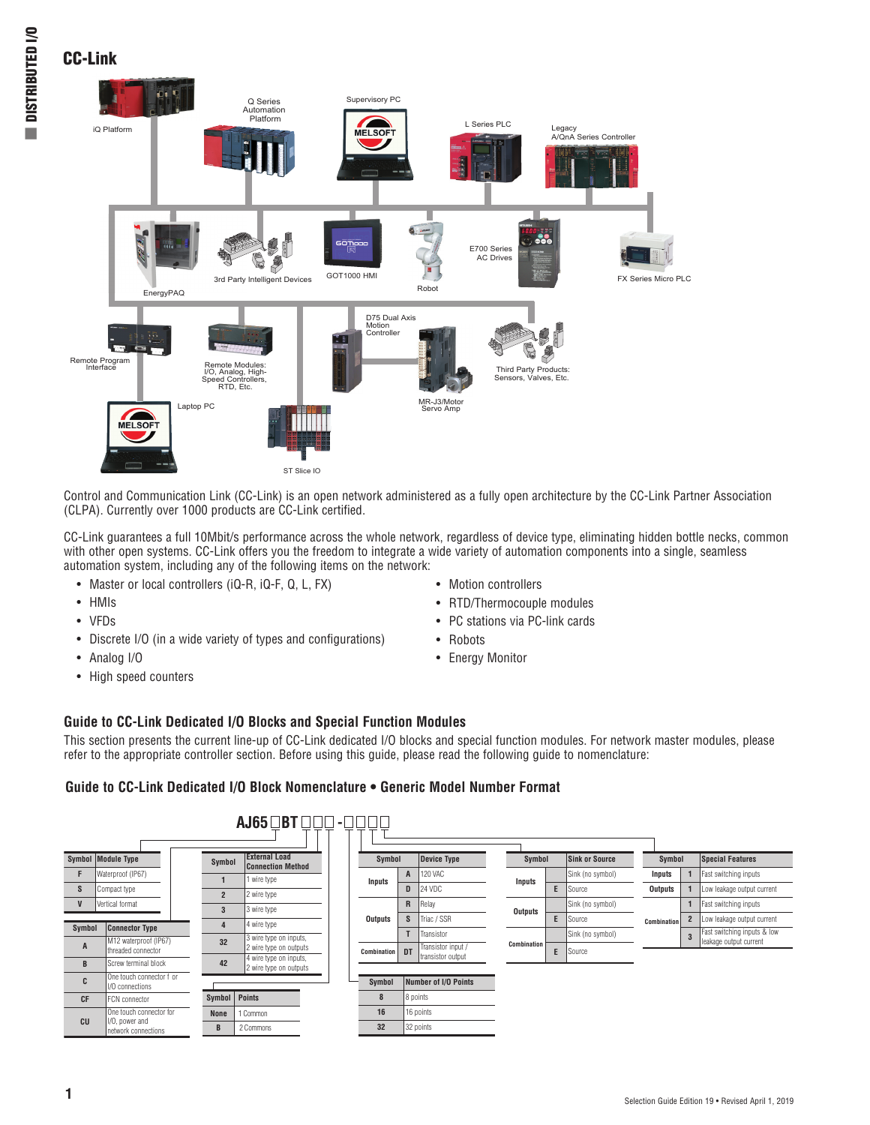L.

# CC-Link



Control and Communication Link (CC-Link) is an open network administered as a fully open architecture by the CC-Link Partner Association (CLPA). Currently over 1000 products are CC-Link certified.

CC-Link guarantees a full 10Mbit/s performance across the whole network, regardless of device type, eliminating hidden bottle necks, common with other open systems. CC-Link offers you the freedom to integrate a wide variety of automation components into a single, seamless automation system, including any of the following items on the network:

- Master or local controllers (iQ-R, iQ-F, Q, L, FX)
- HMIs
- VFDs
- Discrete I/O (in a wide variety of types and configurations)
- Analog I/O
- High speed counters
- Motion controllers
- RTD/Thermocouple modules
- PC stations via PC-link cards
- Robots
- Energy Monitor

## **Guide to CC-Link Dedicated I/O Blocks and Special Function Modules**

This section presents the current line-up of CC-Link dedicated I/O blocks and special function modules. For network master modules, please refer to the appropriate controller section. Before using this guide, please read the following guide to nomenclature:

### **Guide to CC-Link Dedicated I/O Block Nomenclature • Generic Model Number Format**